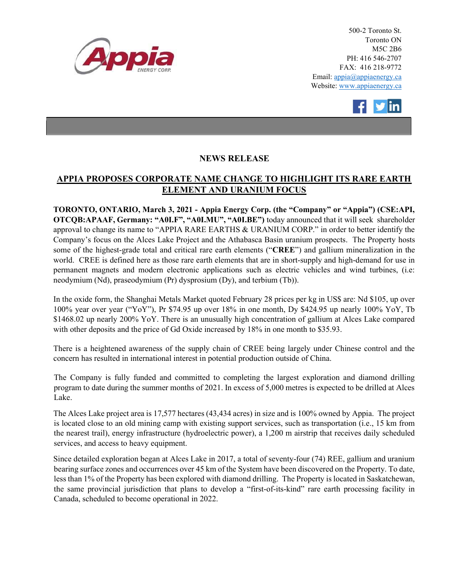

500-2 Toronto St. Toronto ON M5C 2B6 PH: 416 546-2707 FAX: 416 218-9772 Email: appia@appiaenergy.ca Website: www.appiaenergy.ca



## NEWS RELEASE

## APPIA PROPOSES CORPORATE NAME CHANGE TO HIGHLIGHT ITS RARE EARTH ELEMENT AND URANIUM FOCUS

TORONTO, ONTARIO, March 3, 2021 - Appia Energy Corp. (the "Company" or "Appia") (CSE:API, OTCQB:APAAF, Germany: "A0I.F", "A0I.MU", "A0I.BE") today announced that it will seek shareholder approval to change its name to "APPIA RARE EARTHS & URANIUM CORP." in order to better identify the Company's focus on the Alces Lake Project and the Athabasca Basin uranium prospects. The Property hosts some of the highest-grade total and critical rare earth elements ("CREE") and gallium mineralization in the world. CREE is defined here as those rare earth elements that are in short-supply and high-demand for use in permanent magnets and modern electronic applications such as electric vehicles and wind turbines, (i.e: neodymium (Nd), praseodymium (Pr) dysprosium (Dy), and terbium (Tb)).

In the oxide form, the Shanghai Metals Market quoted February 28 prices per kg in US\$ are: Nd \$105, up over 100% year over year ("YoY"), Pr \$74.95 up over 18% in one month, Dy \$424.95 up nearly 100% YoY, Tb \$1468.02 up nearly 200% YoY. There is an unusually high concentration of gallium at Alces Lake compared with other deposits and the price of Gd Oxide increased by 18% in one month to \$35.93.

There is a heightened awareness of the supply chain of CREE being largely under Chinese control and the concern has resulted in international interest in potential production outside of China.

The Company is fully funded and committed to completing the largest exploration and diamond drilling program to date during the summer months of 2021. In excess of 5,000 metres is expected to be drilled at Alces Lake.

The Alces Lake project area is 17,577 hectares (43,434 acres) in size and is 100% owned by Appia. The project is located close to an old mining camp with existing support services, such as transportation (i.e., 15 km from the nearest trail), energy infrastructure (hydroelectric power), a 1,200 m airstrip that receives daily scheduled services, and access to heavy equipment.

Since detailed exploration began at Alces Lake in 2017, a total of seventy-four (74) REE, gallium and uranium bearing surface zones and occurrences over 45 km of the System have been discovered on the Property. To date, less than 1% of the Property has been explored with diamond drilling. The Property is located in Saskatchewan, the same provincial jurisdiction that plans to develop a "first-of-its-kind" rare earth processing facility in Canada, scheduled to become operational in 2022.